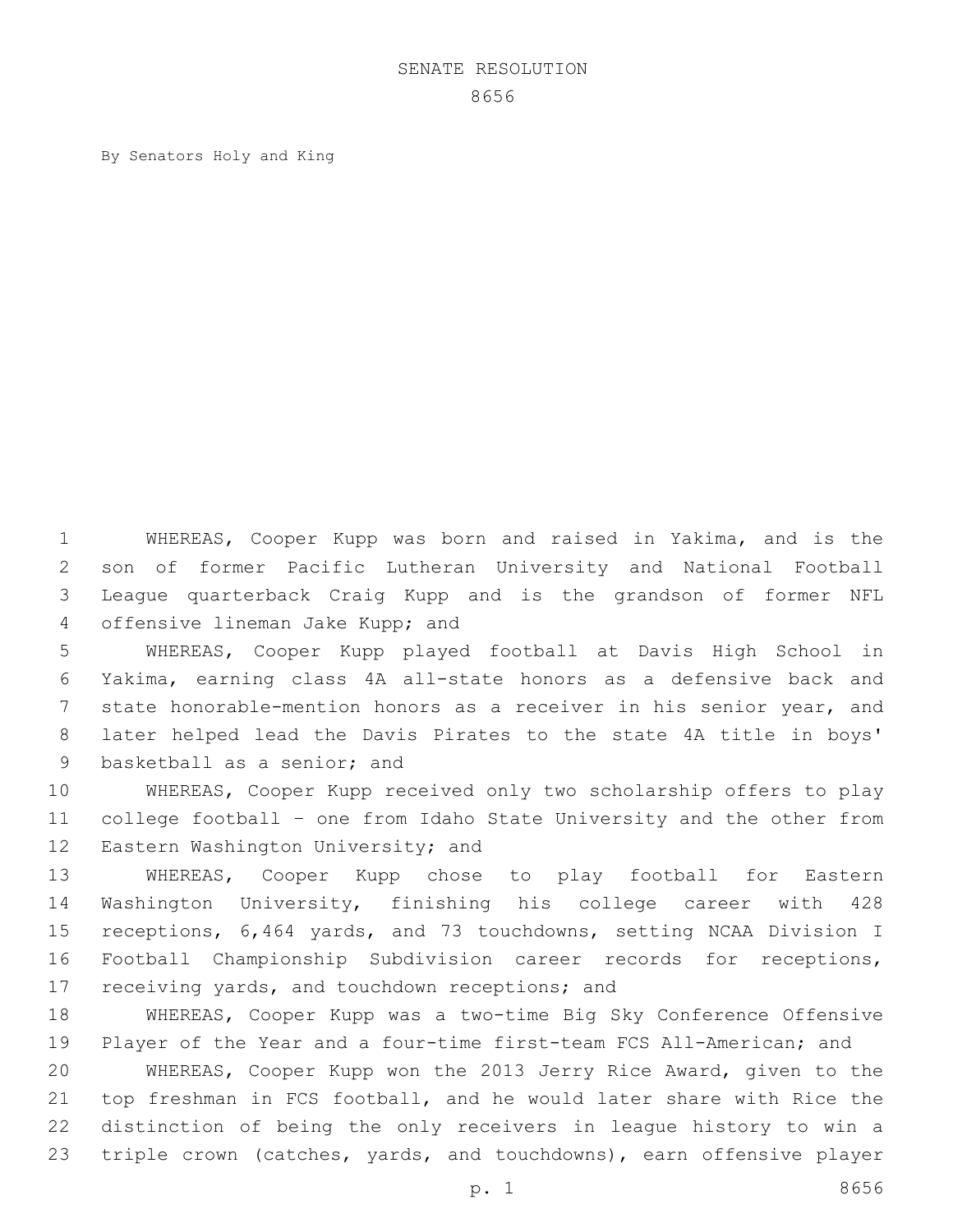## SENATE RESOLUTION

By Senators Holy and King

 WHEREAS, Cooper Kupp was born and raised in Yakima, and is the son of former Pacific Lutheran University and National Football League quarterback Craig Kupp and is the grandson of former NFL 4 offensive lineman Jake Kupp; and

 WHEREAS, Cooper Kupp played football at Davis High School in Yakima, earning class 4A all-state honors as a defensive back and state honorable-mention honors as a receiver in his senior year, and later helped lead the Davis Pirates to the state 4A title in boys' 9 basketball as a senior; and

 WHEREAS, Cooper Kupp received only two scholarship offers to play college football – one from Idaho State University and the other from 12 Eastern Washington University; and

 WHEREAS, Cooper Kupp chose to play football for Eastern Washington University, finishing his college career with 428 receptions, 6,464 yards, and 73 touchdowns, setting NCAA Division I Football Championship Subdivision career records for receptions, 17 receiving yards, and touchdown receptions; and

 WHEREAS, Cooper Kupp was a two-time Big Sky Conference Offensive 19 Player of the Year and a four-time first-team FCS All-American; and WHEREAS, Cooper Kupp won the 2013 Jerry Rice Award, given to the top freshman in FCS football, and he would later share with Rice the distinction of being the only receivers in league history to win a triple crown (catches, yards, and touchdowns), earn offensive player